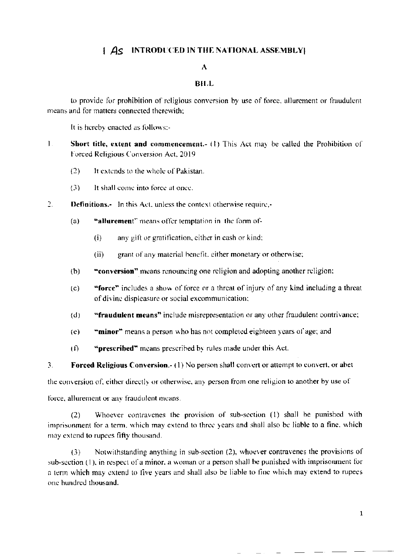## [ As INTRODUCED IN THE NATIONAL ASSEMBLY]

## $\Lambda$

## **BILL**

to provide for prohibition of religious conversion by use of force, allurement or fraudulent means and for matters connected therewith;

It is hereby enacted as follows:-

- $\mathbf{L}$ **Short title, extent and commencement.** (1) This Act may be called the Prohibition of Forced Religious Conversion Act, 2019
	- $(2)$ It extends to the whole of Pakistan.
	- It shall come into force at once.  $(3)$
- $\overline{2}$ . **Definitions.-** In this Act, unless the context otherwise require,-
	- "allurement" means offer temptation in the form of- $(a)$ 
		- $(i)$ any gift or gratification, either in eash or kind;
		- grant of any material benefit, either monetary or otherwise;  $(ii)$
	- "conversion" means renouncing one religion and adopting another religion;  $(b)$
	- "force" includes a show of force or a threat of injury of any kind including a threat  $(c)$ of divine displeasure or social excommunication;
	- $(d)$ "fraudulent means" include misrepresentation or any other fraudulent contrivance;
	- "minor" means a person who has not completed eighteen years of age; and  $(e)$
	- "prescribed" means prescribed by rules made under this Act.  $(f)$

Forced Religious Conversion. (1) No person shall convert or attempt to convert, or abet 3.

the conversion of, either directly or otherwise, any person from one religion to another by use of

force, allurement or any fraudulent means.

Whoever contravenes the provision of sub-section (1) shall be punished with  $(2)$ imprisonment for a term, which may extend to three years and shall also be liable to a fine, which may extend to rupees fifty thousand.

Notwithstanding anything in sub-section (2), whoever contravenes the provisions of  $(3)$ sub-section (1), in respect of a minor, a woman or a person shall be punished with imprisonment for a term which may extend to five years and shall also be liable to fine which may extend to rupees one hundred thousand.